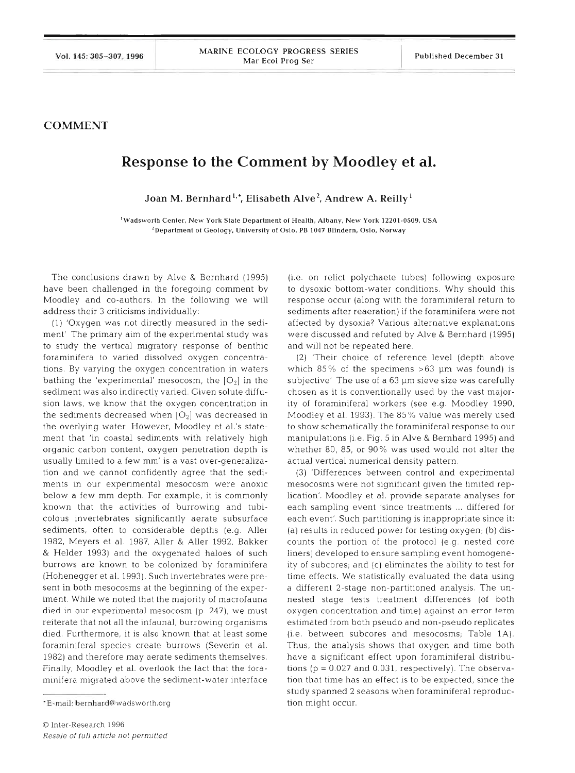## **COMMENT**

## **Response to the Comment by Moodley et al.**

Joan M. Bernhard<sup>1,•</sup>, Elisabeth Alve<sup>2</sup>, Andrew A. Reilly<sup>1</sup>

**'Wadsworth Center, New York State Department of Health, Albany, New York 12201-0509, USA 2Department of Geology, University of Oslo. PB 1047 Blindern. Oslo, Norway** 

The conclusions drawn by Alve & Bernhard (1995) have been challenged in the foregoing comment by Moodley and co-authors In the following we will address their 3 criticisms individually

(1) 'Oxygen was not directly measured in the sediment' The primary aim of the experimental study was to study the vertical migratory response of benthic foraminifera to varied dissolved oxygen concentrations By varying the oxygen concentration in waters bathing the 'experimental' mesocosm, the  $[O_2]$  in the sediment was also indirectly varied. Given solute diffusion laws, we know that the oxygen concentration in the sediments decreased when  $[O_2]$  was decreased in the overlying water However, Moodley et al.'s statement that 'in coastal sediments with relatively high organic carbon content, oxygen penetration depth is usually limited to a few mm' is a vast over-generalization and we cannot confidently agree that the sediments in our experimental mesocosm were anoxic below a few mm depth. For example, it is commonly known that the activities of burrowing and tubicolous invertebrates significantly aerate subsurface sediments, often to considerable depths (e.g. Aller 1982, Meyers et al. 1987, Aller & Aller 1992, Bakker & Helder 1993) and the oxygenated haloes of such burrows are known to be colonized by foraminifera (Hohenegger et al. 1993). Such invertebrates were present in both mesocosms at the beginning of the experiment. While we noted that the majority of macrofauna died in our experimental mesocosm (p. 247), we must reiterate that not all the infaunal, burrowing organisms died. Furthermore, it is also known that at least some foraminiferal species create burrows (Severin et al. 1982) and therefore may aerate sediments themselves. Finally, Moodley et al. overlook the fact that the foraminifera migrated above the sediment-water interface

(1.e on relict polychaete tubes) following exposure to dysoxic bottom-water conditions. Why should this response occur (along with the foraminiferal return to sediments after reaeration) if the foraminifera were not affected by dysoxia? Various alternative explanations were discussed and refuted by Alve & Bernhard (1995). and will not be repeated here.

(2) 'Their choice of reference level (depth above which 85% of the specimens  $>63$  µm was found) is subjective' The use of a 63 um sieve size was carefully chosen as it is conventionally used by the vast majority of foraminiferal workers (see e.g. Moodley 1990, Moodley et al. 1993). The 85% value was merely used to show schematically the foraminiferal response to our manipulations (i.e. Fig. 5 in Alve & Bernhard 1995) and whether 80, 85, or 90% was used would not alter the actual vertical numerical density pattern.

(3) 'Differences between control and experimental mesocosms were not significant given the limited replication'. Moodley et al. provide separate analyses for each sampling event 'since treatments ... differed for each event'. Such partitioning is inappropriate since it: (a) results in reduced power for testing oxygen; (b) discounts the portion of the protocol (e.g. nested core liners) developed to ensure sampling event homogeneity of subcores; and (c) eliminates the ability to test for time effects. We statistically evaluated the data using a different 2-stage non-partitioned analysis. The unnested stage tests treatment differences (of both oxygen concentration and time) against an error term estimated from both pseudo and non-pseudo replicates (i.e. between subcores and mesocosms, Table 1A). Thus, the analysis shows that oxygen and time both have a significant effect upon foraminiferal distributions (p = 0.027 and 0.031, respectively). The observation that time has an effect is to be expected, since the study spanned 2 seasons when foraminiferal reproduction might occur.

<sup>&#</sup>x27;E-mail: bernhard@wadsworth.org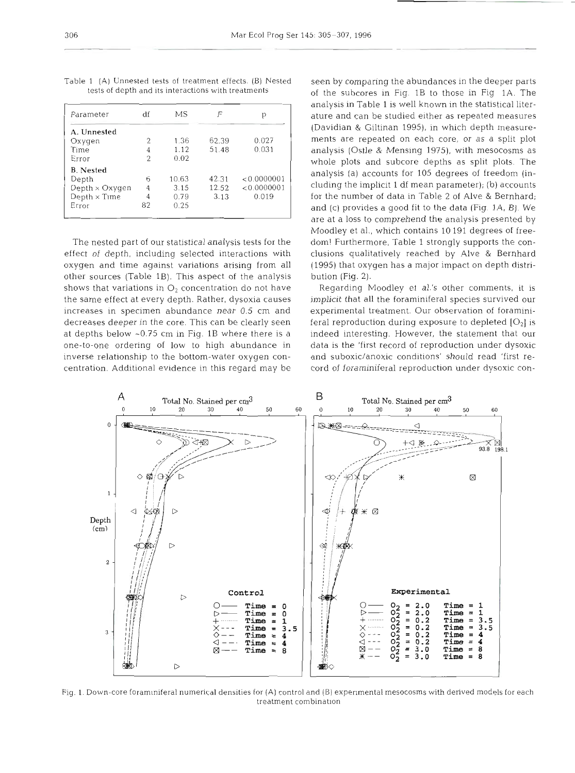| df | МS    | F     | р           |
|----|-------|-------|-------------|
|    |       |       |             |
| 2  | 1.36  | 62.39 | 0.027       |
| 4  | 1.12  | 51.48 | 0.031       |
| 2  | 0.02  |       |             |
|    |       |       |             |
| 6  | 10.63 | 42.31 | < 0.0000001 |
| 4  | 3.15  | 12.52 | < 0.0000001 |
| 4  | 0.79  | 3.13  | 0.019       |
| 82 | 0.25  |       |             |
|    |       |       |             |

Table 1 (A) Unnested tests of treatment effects (B) Nested tests of depth and its interactions with treatments

The nested part of our statistical analysis tests for the effect of depth, including selected interactions with oxygen and time against variations arising from all other sources (Table 1B). This aspect of the analysis shows that variations in  $O_2$  concentration do not have the same effect at every depth. Rather, dysoxia causes increases in specimen abundance near 0.5 cm and decreases deeper in the core. This can be clearly seen at depths below -0.75 cm in Fig. 1B where there is a one-to-one ordering of low to high abundance in inverse relationship to the bottom-water oxygen concentration. Additional evidence in this regard may be

seen by comparing the abundances in the deeper parts of the subcores in Fig. 1B to those in Fig 1A. The analysis in Table 1 is well known in the statistical literature and can be studied either as repeated measures (Davidian & Giltinan 1995), in which depth measurements are repeated on each core, or as a split plot analysis (Ostle & Mensing 1975), with mesocosms as whole plots and subcore depths as split plots. The analysis (a) accounts for 105 degrees of freedom (including the implicit 1 df mean parameter); (b) accounts for the number of data in Table 2 of Alve & Bernhard; and (c) provides a good fit to the data (Fig. 1A, B). We are at a loss to comprehend the analysis presented by Moodley et al., which contains 10 191 degrees of freedom! Furthermore, Table 1 strongly supports the conclusions qualitatively reached by Alve & Bernhard (1995) that oxygen has a major impact on depth distribution (Fig. 2).

Regarding Moodley et al.'s other comments, it is implicit that all the foraminiferal species survived our experimental treatment. Our observation of foraminiferal reproduction during exposure to depleted  $[O_2]$  is indeed interesting. However, the statement that our data is the 'first record of reproduction under dysoxic and suboxic/anoxic conditions' should read 'first record of foraminiferal reproduction under dysoxic con-



Fig. 1. Down-core foram inferal numerical densities for (A) control and  $(B)$  experimental mesocosms with derived models for each treatment combination